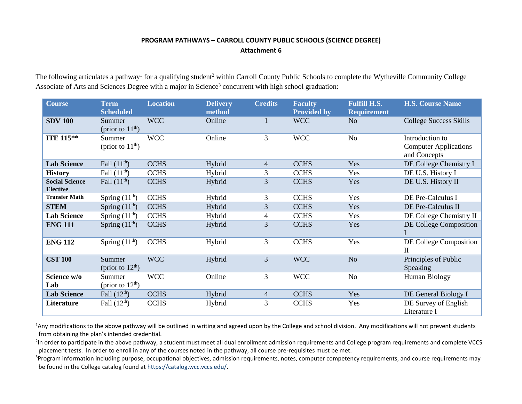## **PROGRAM PATHWAYS – CARROLL COUNTY PUBLIC SCHOOLS (SCIENCE DEGREE) Attachment 6**

The following articulates a pathway<sup>1</sup> for a qualifying student<sup>2</sup> within Carroll County Public Schools to complete the Wytheville Community College Associate of Arts and Sciences Degree with a major in Science<sup>3</sup> concurrent with high school graduation:

| <b>Course</b>                            | <b>Term</b><br><b>Scheduled</b> | <b>Location</b> | <b>Delivery</b><br>method | <b>Credits</b>           | <b>Faculty</b><br><b>Provided by</b> | <b>Fulfill H.S.</b><br><b>Requirement</b> | <b>H.S. Course Name</b>                                         |
|------------------------------------------|---------------------------------|-----------------|---------------------------|--------------------------|--------------------------------------|-------------------------------------------|-----------------------------------------------------------------|
| <b>SDV 100</b>                           | Summer<br>(prior to $11th$ )    | <b>WCC</b>      | Online                    |                          | <b>WCC</b>                           | N <sub>o</sub>                            | <b>College Success Skills</b>                                   |
| ITE 115**                                | Summer<br>(prior to $11th$ )    | <b>WCC</b>      | Online                    | 3                        | <b>WCC</b>                           | N <sub>o</sub>                            | Introduction to<br><b>Computer Applications</b><br>and Concepts |
| <b>Lab Science</b>                       | Fall $(11^{\text{th}})$         | <b>CCHS</b>     | Hybrid                    | $\overline{4}$           | <b>CCHS</b>                          | Yes                                       | DE College Chemistry I                                          |
| <b>History</b>                           | Fall $(11th)$                   | <b>CCHS</b>     | Hybrid                    | 3                        | <b>CCHS</b>                          | Yes                                       | DE U.S. History I                                               |
| <b>Social Science</b><br><b>Elective</b> | Fall $(11^{\text{th}})$         | <b>CCHS</b>     | Hybrid                    | 3                        | <b>CCHS</b>                          | Yes                                       | DE U.S. History II                                              |
| <b>Transfer Math</b>                     | Spring $(11th)$                 | <b>CCHS</b>     | Hybrid                    | 3                        | <b>CCHS</b>                          | Yes                                       | DE Pre-Calculus I                                               |
| <b>STEM</b>                              | Spring $(11th)$                 | <b>CCHS</b>     | Hybrid                    | 3                        | <b>CCHS</b>                          | Yes                                       | DE Pre-Calculus II                                              |
| <b>Lab Science</b>                       | Spring $(11th)$                 | <b>CCHS</b>     | Hybrid                    | $\overline{\mathcal{A}}$ | <b>CCHS</b>                          | Yes                                       | DE College Chemistry II                                         |
| <b>ENG 111</b>                           | Spring $(11th)$                 | <b>CCHS</b>     | Hybrid                    | 3                        | <b>CCHS</b>                          | Yes                                       | DE College Composition                                          |
| <b>ENG 112</b>                           | Spring $(11th)$                 | <b>CCHS</b>     | Hybrid                    | 3                        | <b>CCHS</b>                          | Yes                                       | DE College Composition<br>$\mathbf{I}$                          |
| <b>CST 100</b>                           | Summer<br>(prior to $12th$ )    | <b>WCC</b>      | Hybrid                    | 3                        | <b>WCC</b>                           | No                                        | Principles of Public<br>Speaking                                |
| Science w/o<br>Lab                       | Summer<br>(prior to $12th$ )    | <b>WCC</b>      | Online                    | 3                        | <b>WCC</b>                           | No                                        | <b>Human Biology</b>                                            |
| <b>Lab Science</b>                       | Fall $(12th)$                   | <b>CCHS</b>     | Hybrid                    | 4                        | <b>CCHS</b>                          | Yes                                       | DE General Biology I                                            |
| Literature                               | Fall $(12th)$                   | <b>CCHS</b>     | Hybrid                    | 3                        | <b>CCHS</b>                          | Yes                                       | DE Survey of English<br>Literature I                            |

<sup>1</sup>Any modifications to the above pathway will be outlined in writing and agreed upon by the College and school division. Any modifications will not prevent students from obtaining the plan's intended credential.

<sup>2</sup>In order to participate in the above pathway, a student must meet all dual enrollment admission requirements and College program requirements and complete VCCS placement tests. In order to enroll in any of the courses noted in the pathway, all course pre-requisites must be met.

<sup>3</sup>Program information including purpose, occupational objectives, admission requirements, notes, computer competency requirements, and course requirements may be found in the College catalog found a[t https://catalog.wcc.vccs.edu/](https://catalog.wcc.vccs.edu/).